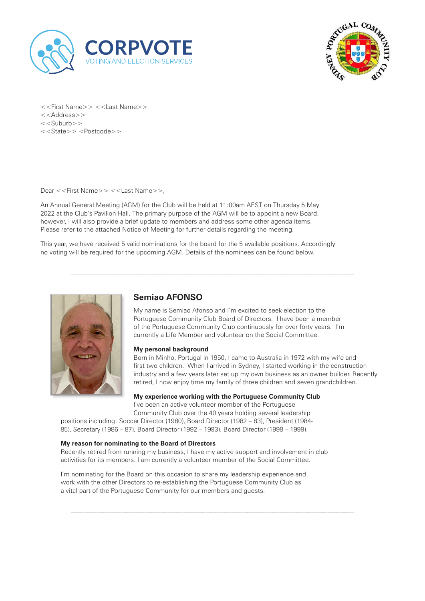



<<First Name>> <<Last Name>> <<Address>> <<Suburb>> <<State>> <Postcode>>

Dear <<First Name>> <<Last Name>>,

An Annual General Meeting (AGM) for the Club will be held at 11:00am AEST on Thursday 5 May 2022 at the Club's Pavilion Hall. The primary purpose of the AGM will be to appoint a new Board, however, I will also provide a brief update to members and address some other agenda items. Please refer to the attached Notice of Meeting for further details regarding the meeting.

This year, we have received 5 valid nominations for the board for the 5 available positions. Accordingly no voting will be required for the upcoming AGM. Details of the nominees can be found below.



# **Semiao AFONSO**

My name is Semiao Afonso and I'm excited to seek election to the Portuguese Community Club Board of Directors. I have been a member of the Portuguese Community Club continuously for over forty years. I'm currently a Life Member and volunteer on the Social Committee.

### **My personal background**

Born in Minho, Portugal in 1950, I came to Australia in 1972 with my wife and first two children. When I arrived in Sydney, I started working in the construction industry and a few years later set up my own business as an owner builder. Recently retired, I now enjoy time my family of three children and seven grandchildren.

**My experience working with the Portuguese Community Club** I've been an active volunteer member of the Portuguese

Community Club over the 40 years holding several leadership

positions including: Soccer Director (1980), Board Director (1982 – 83), President (1984- 85), Secretary (1986 – 87), Board Director (1992 – 1993), Board Director (1998 – 1999).

### **My reason for nominating to the Board of Directors**

Recently retired from running my business, I have my active support and involvement in club activities for its members. I am currently a volunteer member of the Social Committee.

I'm nominating for the Board on this occasion to share my leadership experience and work with the other Directors to re-establishing the Portuguese Community Club as a vital part of the Portuguese Community for our members and guests.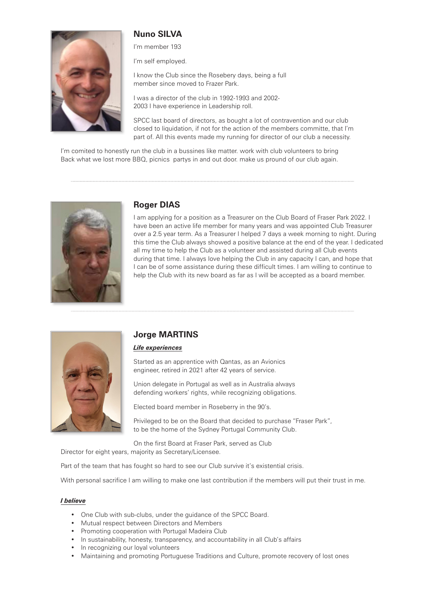# **Nuno SILVA**



#### I'm member 193

I'm self employed.

I know the Club since the Rosebery days, being a full member since moved to Frazer Park.

I was a director of the club in 1992-1993 and 2002- 2003 I have experience in Leadership roll.

SPCC last board of directors, as bought a lot of contravention and our club closed to liquidation, if not for the action of the members committe, that I'm part of. All this events made my running for director of our club a necessity.

I'm comited to honestly run the club in a bussines like matter. work with club volunteers to bring Back what we lost more BBQ, picnics partys in and out door. make us pround of our club again.



### **Roger DIAS**

I am applying for a position as a Treasurer on the Club Board of Fraser Park 2022. I have been an active life member for many years and was appointed Club Treasurer over a 2.5 year term. As a Treasurer I helped 7 days a week morning to night. During this time the Club always showed a positive balance at the end of the year. I dedicated all my time to help the Club as a volunteer and assisted during all Club events during that time. I always love helping the Club in any capacity I can, and hope that I can be of some assistance during these difficult times. I am willing to continue to help the Club with its new board as far as I will be accepted as a board member.



## **Jorge MARTINS**

#### *Life experiences*

Started as an apprentice with Qantas, as an Avionics engineer, retired in 2021 after 42 years of service.

Union delegate in Portugal as well as in Australia always defending workers' rights, while recognizing obligations.

Elected board member in Roseberry in the 90's.

Privileged to be on the Board that decided to purchase "Fraser Park", to be the home of the Sydney Portugal Community Club.

On the first Board at Fraser Park, served as Club Director for eight years, majority as Secretary/Licensee.

Part of the team that has fought so hard to see our Club survive it's existential crisis.

With personal sacrifice I am willing to make one last contribution if the members will put their trust in me.

#### *I believe*

- One Club with sub-clubs, under the guidance of the SPCC Board.
- Mutual respect between Directors and Members
- Promoting cooperation with Portugal Madeira Club
- In sustainability, honesty, transparency, and accountability in all Club's affairs
- In recognizing our loyal volunteers
- Maintaining and promoting Portuguese Traditions and Culture, promote recovery of lost ones